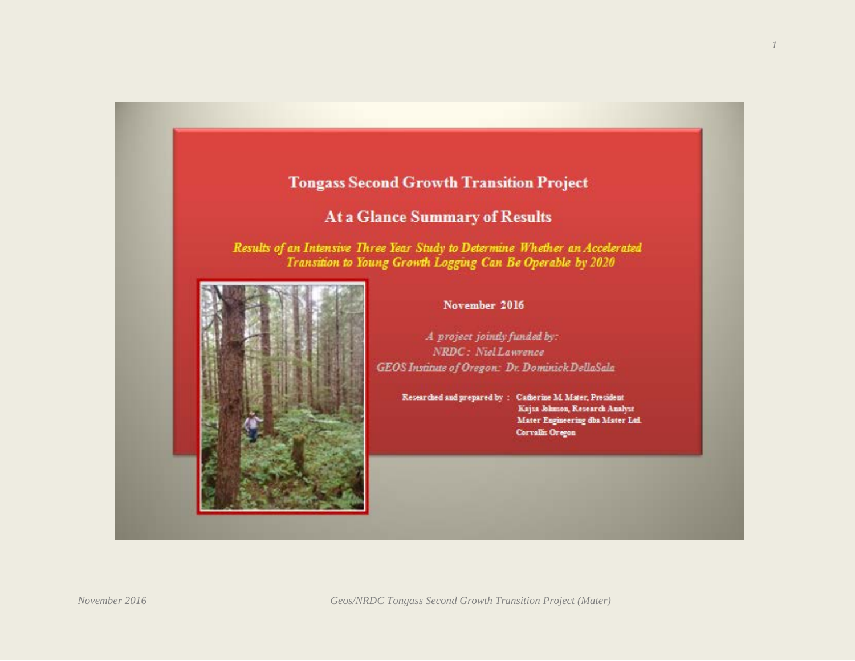# **Tongass Second Growth Transition Project**

# **At a Glance Summary of Results**

Results of an Intensive Three Year Study to Determine Whether an Accelerated Transition to Young Growth Logging Can Be Operable by 2020



#### November 2016

A project jointly funded by: NRDC: Niel Lawrence GEOS Institute of Oregon: Dr. Dominick DellaSala

> Researched and prepared by: Catherine M. Mater, President Kajza Johnson, Research Analyst Mater Engineering dbs Mater Ltd. Corvallis Oregon

*November 2016 Geos/NRDC Tongass Second Growth Transition Project (Mater)*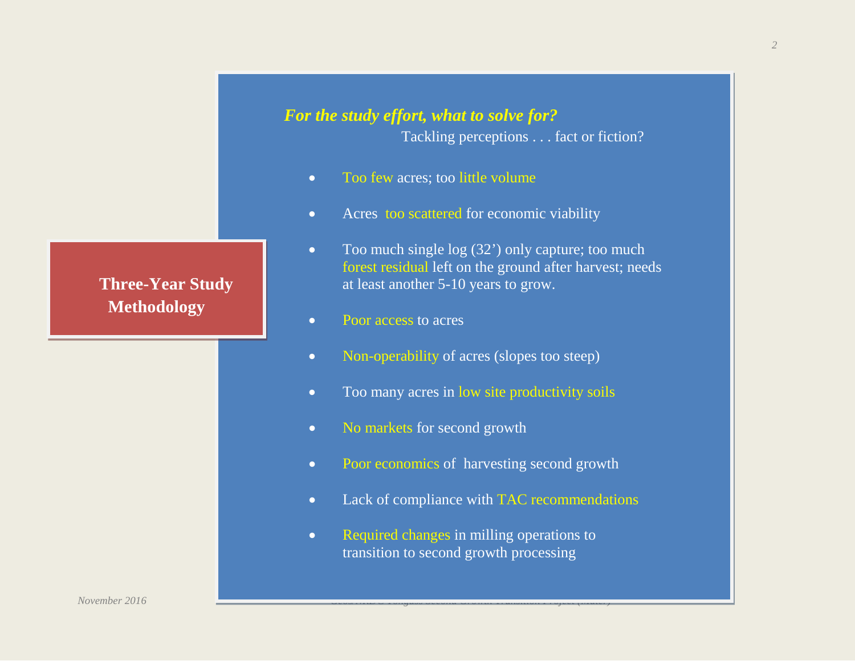

*2*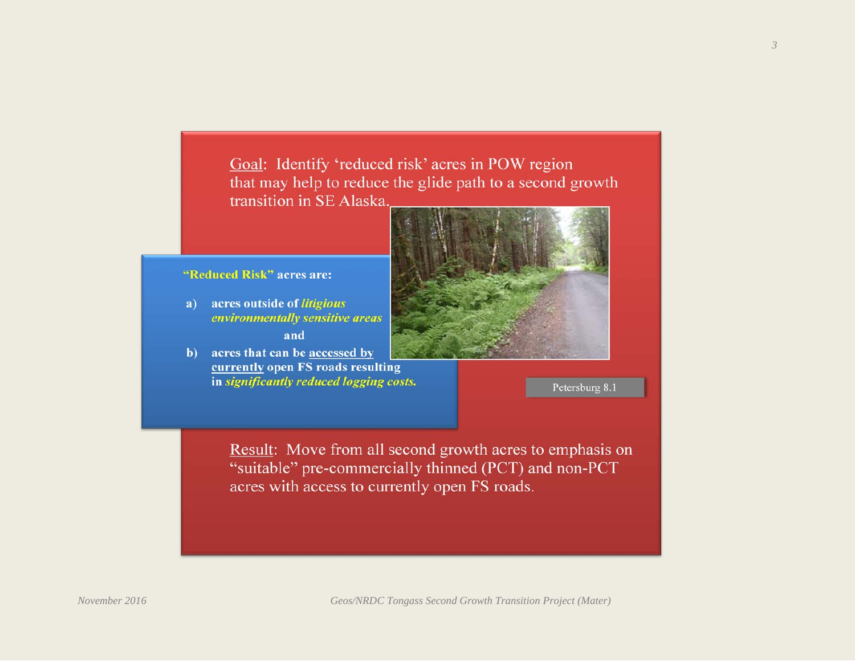Goal: Identify 'reduced risk' acres in POW region that may help to reduce the glide path to a second growth transition in SE Alaska.

#### "Reduced Risk" acres are:

- acres outside of litigious  $a)$ environmentally sensitive areas and
- b) acres that can be accessed by currently open FS roads resulting in significantly reduced logging costs.

Petersburg 8.1

Result: Move from all second growth acres to emphasis on "suitable" pre-commercially thinned (PCT) and non-PCT acres with access to currently open FS roads.

*3*

*November 2016 Geos/NRDC Tongass Second Growth Transition Project (Mater)*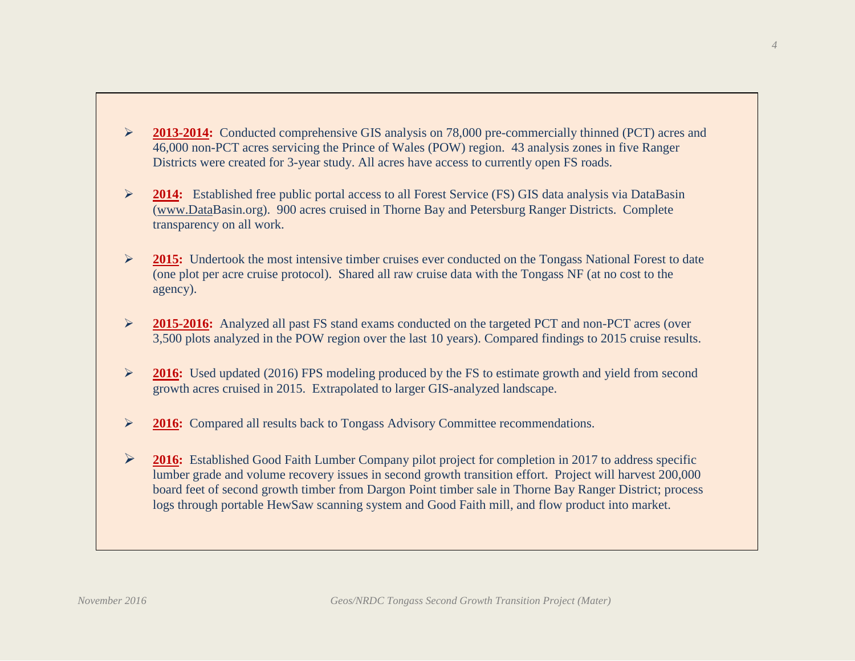- 2013-2014: Conducted comprehensive GIS analysis on 78,000 pre-commercially thinned (PCT) acres and 46,000 non-PCT acres servicing the Prince of Wales (POW) region. 43 analysis zones in five Ranger Districts were created for 3-year study. All acres have access to currently open FS roads.
- **2014:** Established free public portal access to all Forest Service (FS) GIS data analysis via DataBasin [\(www.DataB](http://www.data/)asin.org). 900 acres cruised in Thorne Bay and Petersburg Ranger Districts. Complete transparency on all work.
- 2015: Undertook the most intensive timber cruises ever conducted on the Tongass National Forest to date (one plot per acre cruise protocol). Shared all raw cruise data with the Tongass NF (at no cost to the agency).
- **2015-2016:** Analyzed all past FS stand exams conducted on the targeted PCT and non-PCT acres (over 3,500 plots analyzed in the POW region over the last 10 years). Compared findings to 2015 cruise results.
- **2016:** Used updated (2016) FPS modeling produced by the FS to estimate growth and yield from second growth acres cruised in 2015. Extrapolated to larger GIS-analyzed landscape.
- **2016:** Compared all results back to Tongass Advisory Committee recommendations.
- 2016: Established Good Faith Lumber Company pilot project for completion in 2017 to address specific lumber grade and volume recovery issues in second growth transition effort. Project will harvest 200,000 board feet of second growth timber from Dargon Point timber sale in Thorne Bay Ranger District; process logs through portable HewSaw scanning system and Good Faith mill, and flow product into market.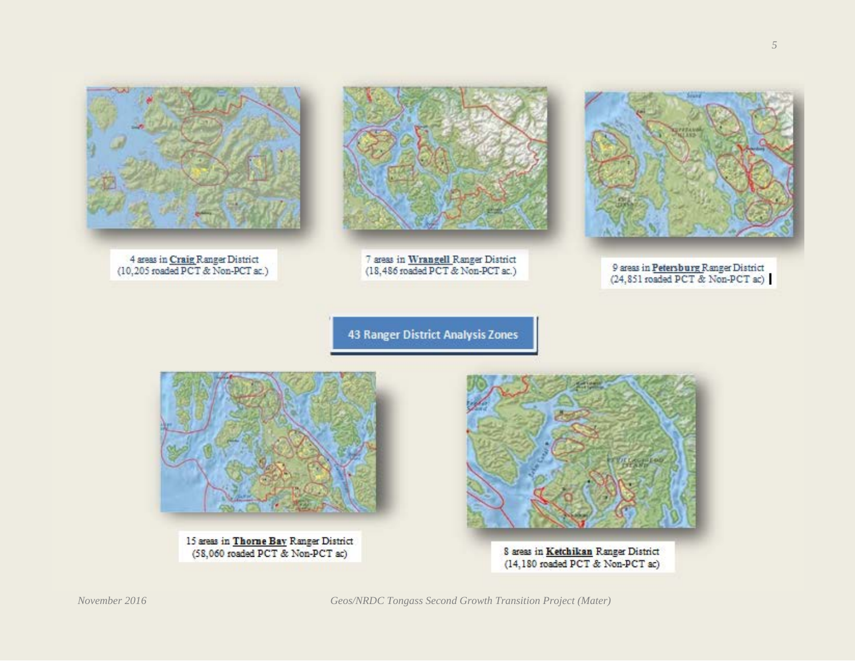

4 areas in Craig Ranger District (10,205 roaded PCT & Non-PCT ac.)



7 areas in Wrangell Ranger District (18,486 roaded PCT & Non-PCT ac.)



9 areas in Petersburg Ranger District (24,851 roaded PCT & Non-PCT ac)

43 Ranger District Analysis Zones

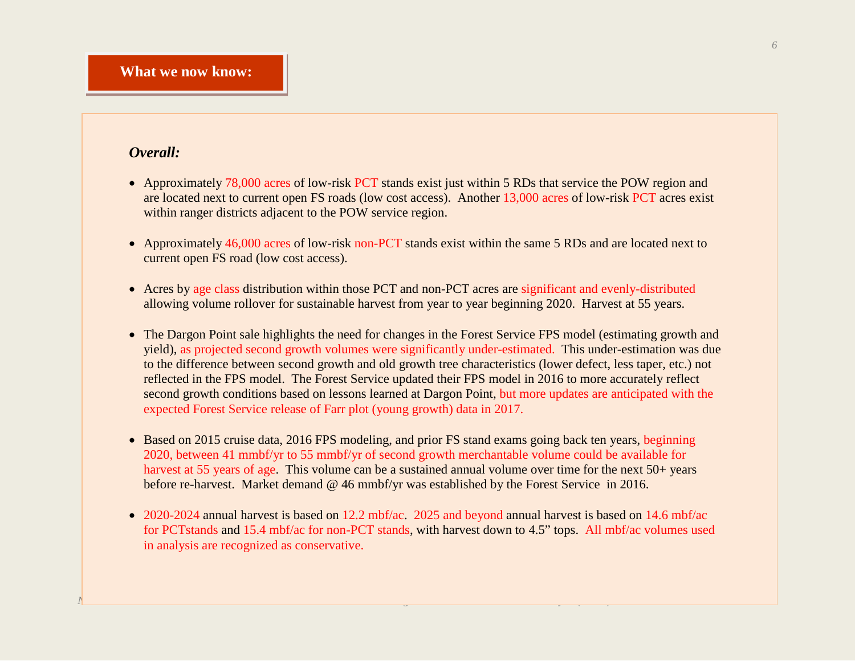# *Overall:*

- Approximately 78,000 acres of low-risk PCT stands exist just within 5 RDs that service the POW region and are located next to current open FS roads (low cost access). Another 13,000 acres of low-risk PCT acres exist within ranger districts adjacent to the POW service region.
- Approximately 46,000 acres of low-risk non-PCT stands exist within the same 5 RDs and are located next to current open FS road (low cost access).
- Acres by age class distribution within those PCT and non-PCT acres are significant and evenly-distributed allowing volume rollover for sustainable harvest from year to year beginning 2020. Harvest at 55 years.
- The Dargon Point sale highlights the need for changes in the Forest Service FPS model (estimating growth and yield), as projected second growth volumes were significantly under-estimated. This under-estimation was due to the difference between second growth and old growth tree characteristics (lower defect, less taper, etc.) not reflected in the FPS model. The Forest Service updated their FPS model in 2016 to more accurately reflect second growth conditions based on lessons learned at Dargon Point, but more updates are anticipated with the expected Forest Service release of Farr plot (young growth) data in 2017.
- Based on 2015 cruise data, 2016 FPS modeling, and prior FS stand exams going back ten years, beginning 2020, between 41 mmbf/yr to 55 mmbf/yr of second growth merchantable volume could be available for harvest at 55 years of age. This volume can be a sustained annual volume over time for the next 50+ years before re-harvest. Market demand @ 46 mmbf/yr was established by the Forest Service in 2016.
- 2020-2024 annual harvest is based on 12.2 mbf/ac. 2025 and beyond annual harvest is based on 14.6 mbf/ac for PCTstands and 15.4 mbf/ac for non-PCT stands, with harvest down to 4.5" tops. All mbf/ac volumes used in analysis are recognized as conservative.

*November 2016 Geos/NRDC Tongass Second Growth Transition Project (Mater)*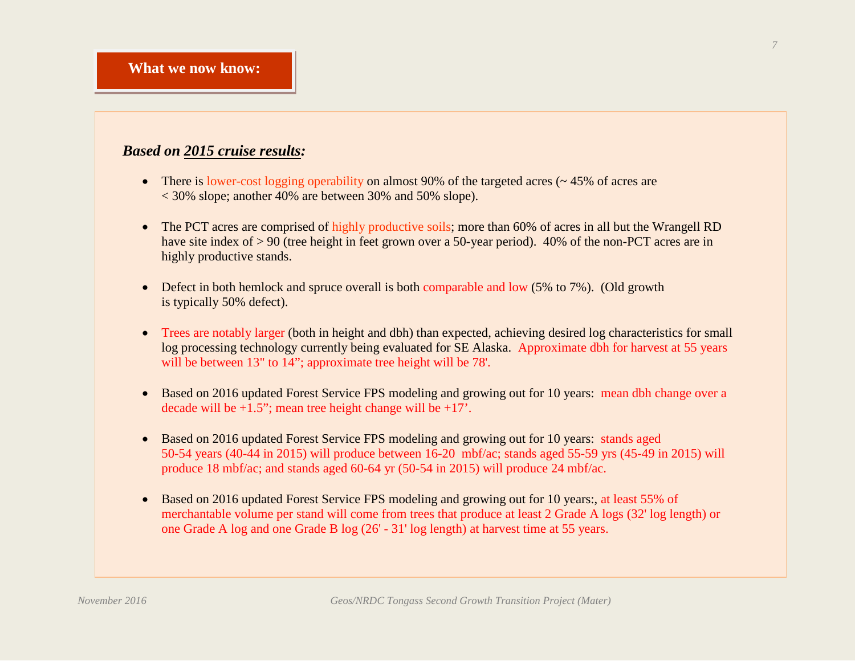# *Based on 2015 cruise results:*

- There is lower-cost logging operability on almost 90% of the targeted acres  $($   $\sim$  45% of acres are  $\langle 30\% \text{ slope}$ ; another 40% are between 30% and 50% slope).
- The PCT acres are comprised of highly productive soils; more than 60% of acres in all but the Wrangell RD have site index of > 90 (tree height in feet grown over a 50-year period). 40% of the non-PCT acres are in highly productive stands.
- Defect in both hemlock and spruce overall is both comparable and low (5% to 7%). (Old growth is typically 50% defect).
- Trees are notably larger (both in height and dbh) than expected, achieving desired log characteristics for small log processing technology currently being evaluated for SE Alaska. Approximate dbh for harvest at 55 years will be between 13" to 14"; approximate tree height will be 78'.
- Based on 2016 updated Forest Service FPS modeling and growing out for 10 years: mean dbh change over a decade will be  $+1.5$ "; mean tree height change will be  $+17$ ".
- Based on 2016 updated Forest Service FPS modeling and growing out for 10 years: stands aged 50-54 years (40-44 in 2015) will produce between 16-20 mbf/ac; stands aged 55-59 yrs (45-49 in 2015) will produce 18 mbf/ac; and stands aged 60-64 yr (50-54 in 2015) will produce 24 mbf/ac.
- Based on 2016 updated Forest Service FPS modeling and growing out for 10 years:, at least 55% of merchantable volume per stand will come from trees that produce at least 2 Grade A logs (32' log length) or one Grade A log and one Grade B log (26' - 31' log length) at harvest time at 55 years.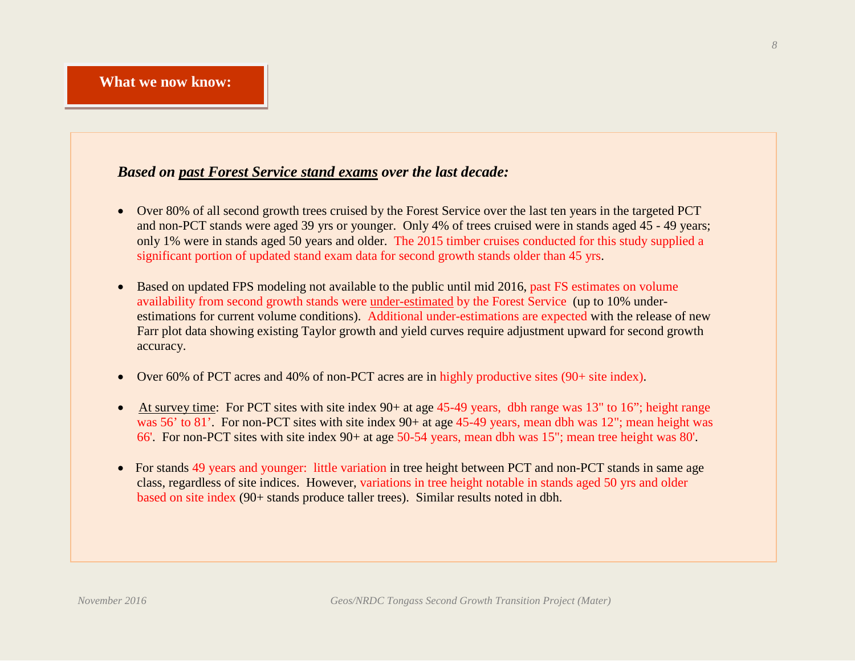### *Based on past Forest Service stand exams over the last decade:*

- Over 80% of all second growth trees cruised by the Forest Service over the last ten years in the targeted PCT and non-PCT stands were aged 39 yrs or younger. Only 4% of trees cruised were in stands aged 45 - 49 years; only 1% were in stands aged 50 years and older. The 2015 timber cruises conducted for this study supplied a significant portion of updated stand exam data for second growth stands older than 45 yrs.
- Based on updated FPS modeling not available to the public until mid 2016, past FS estimates on volume availability from second growth stands were under-estimated by the Forest Service (up to 10% underestimations for current volume conditions). Additional under-estimations are expected with the release of new Farr plot data showing existing Taylor growth and yield curves require adjustment upward for second growth accuracy.
- Over 60% of PCT acres and 40% of non-PCT acres are in highly productive sites (90+ site index).
- At survey time: For PCT sites with site index  $90+$  at age 45-49 years, dbh range was 13" to 16"; height range was 56' to 81'. For non-PCT sites with site index 90+ at age 45-49 years, mean dbh was 12"; mean height was 66'. For non-PCT sites with site index 90+ at age 50-54 years, mean dbh was 15"; mean tree height was 80'.
- For stands 49 years and younger: little variation in tree height between PCT and non-PCT stands in same age class, regardless of site indices. However, variations in tree height notable in stands aged 50 yrs and older based on site index (90+ stands produce taller trees). Similar results noted in dbh.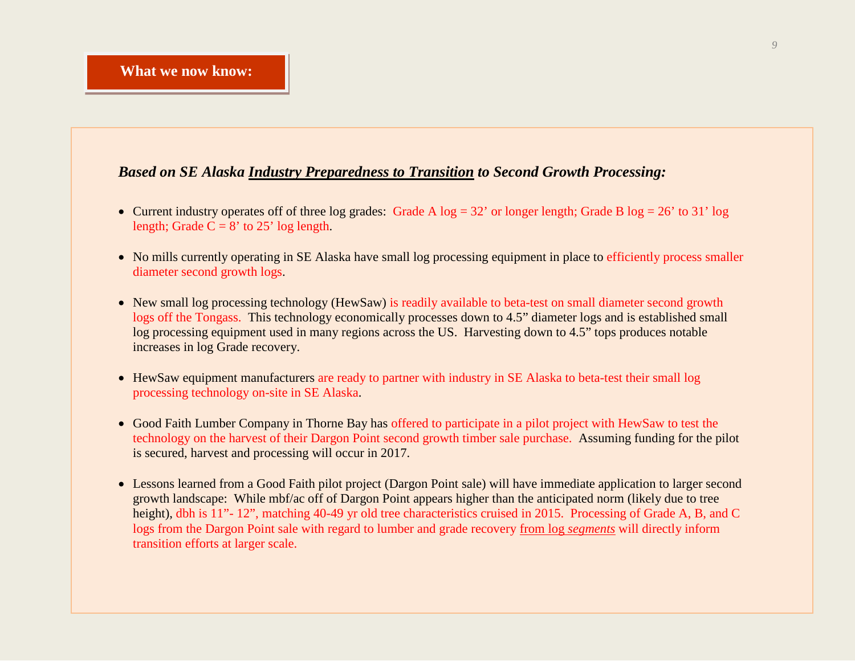#### *Based on SE Alaska Industry Preparedness to Transition to Second Growth Processing:*

- Current industry operates off of three log grades: Grade A  $log = 32'$  or longer length; Grade B  $log = 26'$  to 31' log length; Grade  $C = 8'$  to 25' log length.
- No mills currently operating in SE Alaska have small log processing equipment in place to efficiently process smaller diameter second growth logs.
- New small log processing technology (HewSaw) is readily available to beta-test on small diameter second growth logs off the Tongass. This technology economically processes down to 4.5" diameter logs and is established small log processing equipment used in many regions across the US. Harvesting down to 4.5" tops produces notable increases in log Grade recovery.
- HewSaw equipment manufacturers are ready to partner with industry in SE Alaska to beta-test their small log processing technology on-site in SE Alaska.
- Good Faith Lumber Company in Thorne Bay has offered to participate in a pilot project with HewSaw to test the technology on the harvest of their Dargon Point second growth timber sale purchase. Assuming funding for the pilot is secured, harvest and processing will occur in 2017.
- Lessons learned from a Good Faith pilot project (Dargon Point sale) will have immediate application to larger second growth landscape: While mbf/ac off of Dargon Point appears higher than the anticipated norm (likely due to tree height), dbh is 11"- 12", matching 40-49 yr old tree characteristics cruised in 2015. Processing of Grade A, B, and C logs from the Dargon Point sale with regard to lumber and grade recovery from log *segments* will directly inform transition efforts at larger scale.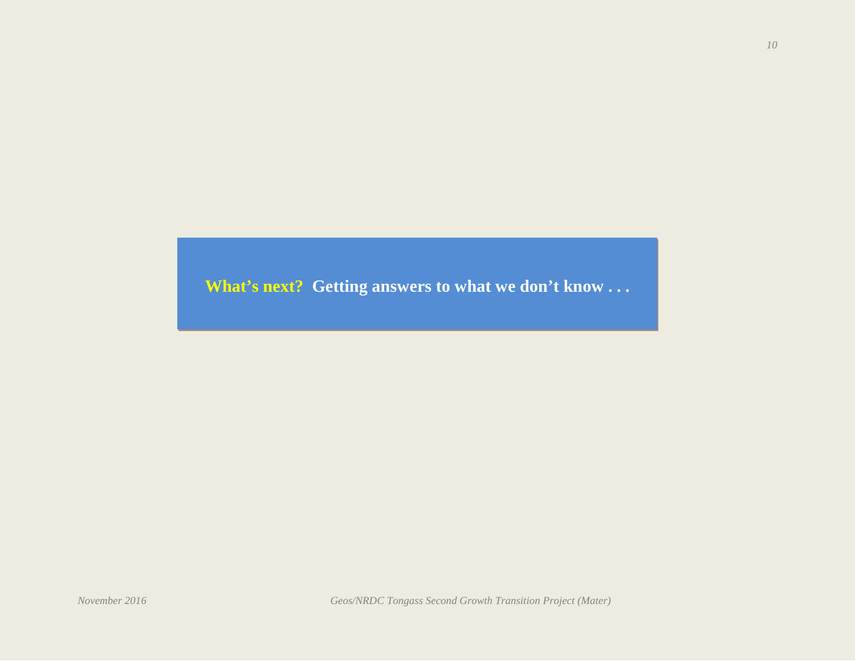**What's next? Getting answers to what we don't know . . .**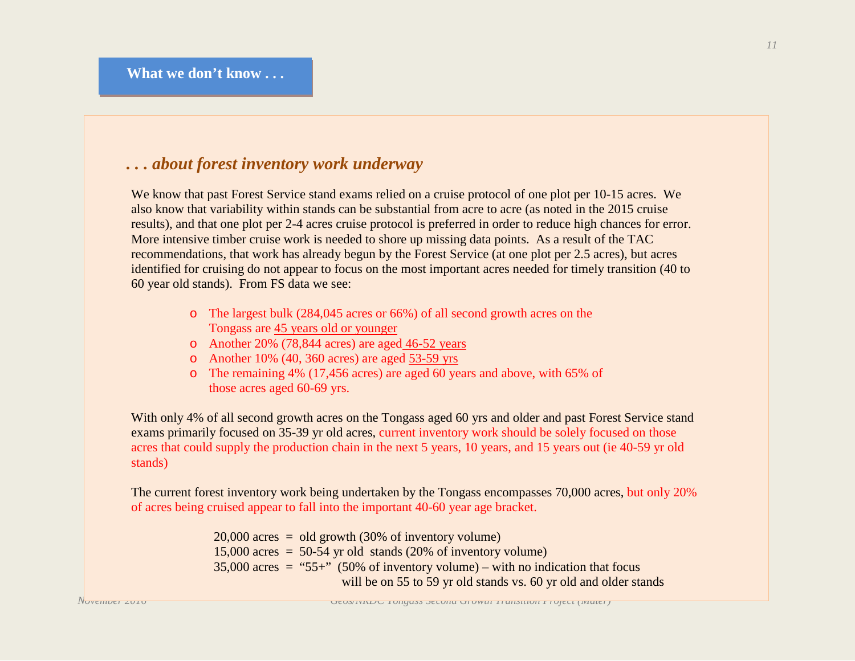# *. . . about forest inventory work underway*

We know that past Forest Service stand exams relied on a cruise protocol of one plot per 10-15 acres. We also know that variability within stands can be substantial from acre to acre (as noted in the 2015 cruise results), and that one plot per 2-4 acres cruise protocol is preferred in order to reduce high chances for error. More intensive timber cruise work is needed to shore up missing data points. As a result of the TAC recommendations, that work has already begun by the Forest Service (at one plot per 2.5 acres), but acres identified for cruising do not appear to focus on the most important acres needed for timely transition (40 to 60 year old stands). From FS data we see:

- o The largest bulk (284,045 acres or 66%) of all second growth acres on the Tongass are 45 years old or younger
- o Another 20% (78,844 acres) are aged 46-52 years
- o Another 10% (40, 360 acres) are aged 53-59 yrs
- o The remaining 4% (17,456 acres) are aged 60 years and above, with 65% of those acres aged 60-69 yrs.

With only 4% of all second growth acres on the Tongass aged 60 yrs and older and past Forest Service stand exams primarily focused on 35-39 yr old acres, current inventory work should be solely focused on those acres that could supply the production chain in the next 5 years, 10 years, and 15 years out (ie 40-59 yr old stands)

The current forest inventory work being undertaken by the Tongass encompasses 70,000 acres, but only 20% of acres being cruised appear to fall into the important 40-60 year age bracket.

> $20,000$  acres = old growth (30% of inventory volume)  $15,000$  acres = 50-54 yr old stands (20% of inventory volume)  $35,000$  acres = "55+" (50% of inventory volume) – with no indication that focus will be on 55 to 59 yr old stands vs. 60 yr old and older stands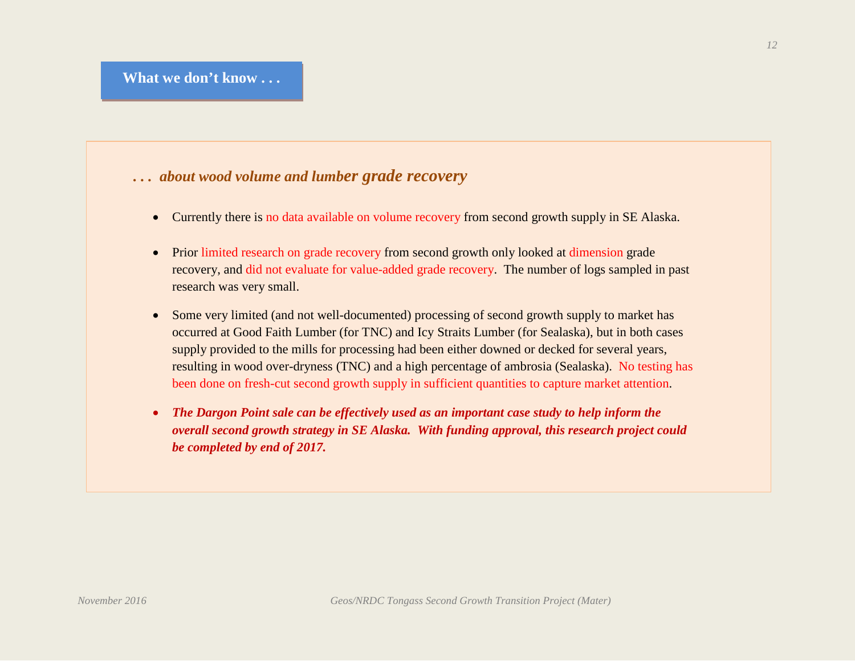## *. . . about wood volume and lumber grade recovery*

- Currently there is no data available on volume recovery from second growth supply in SE Alaska.
- Prior limited research on grade recovery from second growth only looked at dimension grade recovery, and did not evaluate for value-added grade recovery. The number of logs sampled in past research was very small.
- Some very limited (and not well-documented) processing of second growth supply to market has occurred at Good Faith Lumber (for TNC) and Icy Straits Lumber (for Sealaska), but in both cases supply provided to the mills for processing had been either downed or decked for several years, resulting in wood over-dryness (TNC) and a high percentage of ambrosia (Sealaska). No testing has been done on fresh-cut second growth supply in sufficient quantities to capture market attention.
- *The Dargon Point sale can be effectively used as an important case study to help inform the overall second growth strategy in SE Alaska. With funding approval, this research project could be completed by end of 2017.*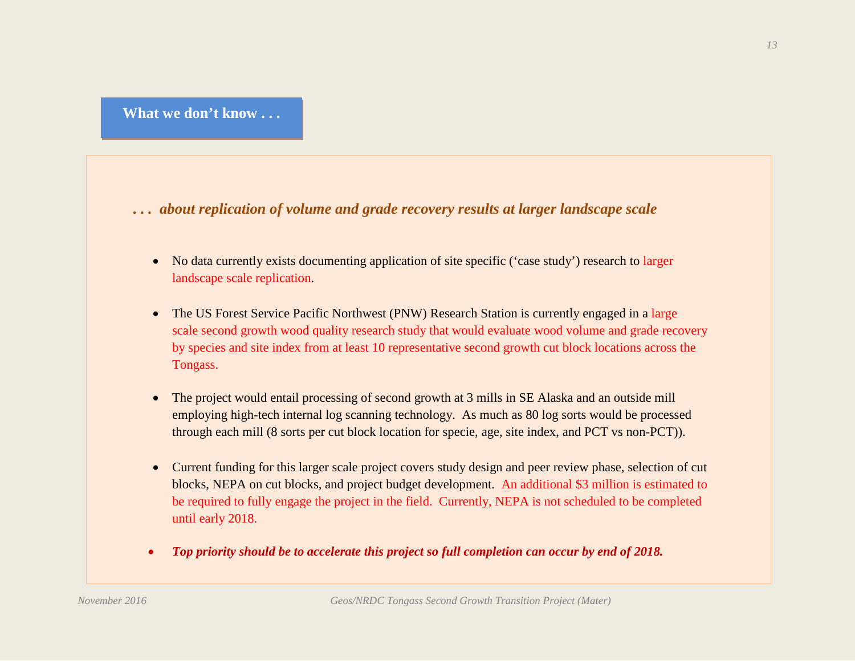*. . . about replication of volume and grade recovery results at larger landscape scale*

- No data currently exists documenting application of site specific ('case study') research to larger landscape scale replication.
- The US Forest Service Pacific Northwest (PNW) Research Station is currently engaged in a large scale second growth wood quality research study that would evaluate wood volume and grade recovery by species and site index from at least 10 representative second growth cut block locations across the Tongass.
- The project would entail processing of second growth at 3 mills in SE Alaska and an outside mill employing high-tech internal log scanning technology. As much as 80 log sorts would be processed through each mill (8 sorts per cut block location for specie, age, site index, and PCT vs non-PCT)).
- Current funding for this larger scale project covers study design and peer review phase, selection of cut blocks, NEPA on cut blocks, and project budget development. An additional \$3 million is estimated to be required to fully engage the project in the field. Currently, NEPA is not scheduled to be completed until early 2018.
- *Top priority should be to accelerate this project so full completion can occur by end of 2018.*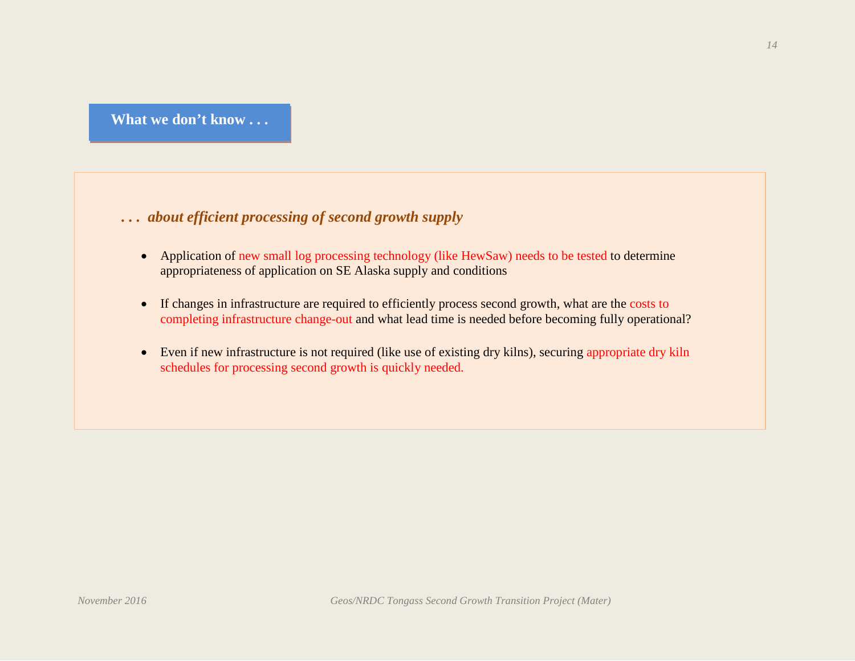**What we don't know . . .**

*. . . about efficient processing of second growth supply*

- Application of new small log processing technology (like HewSaw) needs to be tested to determine appropriateness of application on SE Alaska supply and conditions
- If changes in infrastructure are required to efficiently process second growth, what are the costs to completing infrastructure change-out and what lead time is needed before becoming fully operational?
- Even if new infrastructure is not required (like use of existing dry kilns), securing appropriate dry kiln schedules for processing second growth is quickly needed.